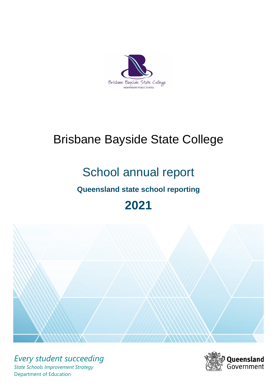

# Brisbane Bayside State College

# School annual report

# **Queensland state school reporting**

# **2021**



*Every student succeeding State Schools Improvement Strategy* Department of Education

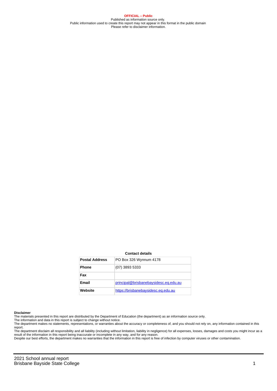**OFFICIAL – Public** Published as information source only. Public information used to create this report may not appear in this format in the public domain Please refer to disclaimer information.

#### **Contact details**

| <b>Postal Address</b> | PO Box 326 Wynnum 4178                |
|-----------------------|---------------------------------------|
| <b>Phone</b>          | (07) 3893 5333                        |
| Fax                   |                                       |
| Email                 | principal@brisbanebaysidesc.eq.edu.au |
| Website               | https://brisbanebaysidesc.eq.edu.au   |

#### **Disclaimer**

The materials presented in this report are distributed by the Department of Education (the department) as an information source only.

The information and data in this report is subject to change without notice.<br>The department makes no statements, representations, or warranties about the accuracy or completeness of, and you should not rely on, any informa report. The department disclaim all responsibility and all liability (including without limitation, liability in negligence) for all expenses, losses, damages and costs you might incur as a

result of the information in this report being inaccurate or incomplete in any way, and for any reason.

Despite our best efforts, the department makes no warranties that the information in this report is free of infection by computer viruses or other contamination.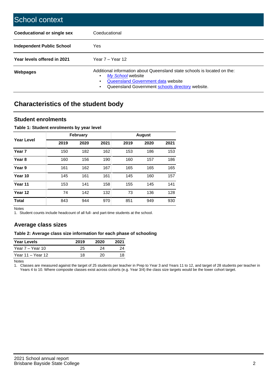| School context                     |                                                                                                                                                                                                   |
|------------------------------------|---------------------------------------------------------------------------------------------------------------------------------------------------------------------------------------------------|
| <b>Coeducational or single sex</b> | Coeducational                                                                                                                                                                                     |
| Independent Public School          | <b>Yes</b>                                                                                                                                                                                        |
| Year levels offered in 2021        | Year $7 -$ Year 12                                                                                                                                                                                |
| Webpages                           | Additional information about Queensland state schools is located on the:<br>My School website<br>٠<br>Queensland Government data website<br>Queensland Government schools directory website.<br>٠ |

# **Characteristics of the student body**

## **Student enrolments**

#### **Table 1: Student enrolments by year level**

|                   |      | <b>February</b> |      |      | <b>August</b> |      |
|-------------------|------|-----------------|------|------|---------------|------|
| Year Level        | 2019 | 2020            | 2021 | 2019 | 2020          | 2021 |
| Year <sub>7</sub> | 150  | 182             | 162  | 153  | 186           | 153  |
| Year <sub>8</sub> | 160  | 156             | 190  | 160  | 157           | 186  |
| Year 9            | 161  | 162             | 167  | 165  | 165           | 165  |
| Year 10           | 145  | 161             | 161  | 145  | 160           | 157  |
| Year 11           | 153  | 141             | 158  | 155  | 145           | 141  |
| Year 12           | 74   | 142             | 132  | 73   | 136           | 128  |
| <b>Total</b>      | 843  | 944             | 970  | 851  | 949           | 930  |

Notes

1. Student counts include headcount of all full- and part-time students at the school.

## **Average class sizes**

#### **Table 2: Average class size information for each phase of schooling**

| <b>Year Levels</b> | 2019 | 2020 | 2021 |
|--------------------|------|------|------|
| Year 7 – Year 10   | 25   | 24   | つハ   |
| Year 11 – Year 12  | 18   | 20   |      |

Notes

1. Classes are measured against the target of 25 students per teacher in Prep to Year 3 and Years 11 to 12, and target of 28 students per teacher in Years 4 to 10. Where composite classes exist across cohorts (e.g. Year 3/4) the class size targets would be the lower cohort target.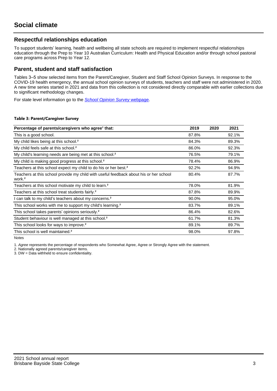# **Respectful relationships education**

To support students' learning, health and wellbeing all state schools are required to implement respectful relationships education through the Prep to Year 10 Australian Curriculum: Health and Physical Education and/or through school pastoral care programs across Prep to Year 12.

## **Parent, student and staff satisfaction**

Tables 3–5 show selected items from the Parent/Caregiver, Student and Staff School Opinion Surveys. In response to the COVID-19 health emergency, the annual school opinion surveys of students, teachers and staff were not administered in 2020. A new time series started in 2021 and data from this collection is not considered directly comparable with earlier collections due to significant methodology changes.

For state level information go to the **[School Opinion Survey](https://qed.qld.gov.au/publications/reports/statistics/schooling/schools/schoolopinionsurvey) webpage**.

#### **Table 3: Parent/Caregiver Survey**

| Percentage of parents/caregivers who agree <sup>1</sup> that:                                               | 2019  | 2020 | 2021  |
|-------------------------------------------------------------------------------------------------------------|-------|------|-------|
| This is a good school.                                                                                      | 87.8% |      | 92.1% |
| My child likes being at this school. <sup>2</sup>                                                           | 84.3% |      | 89.3% |
| My child feels safe at this school. <sup>2</sup>                                                            | 86.0% |      | 92.3% |
| My child's learning needs are being met at this school. <sup>2</sup>                                        | 76.5% |      | 79.1% |
| My child is making good progress at this school. <sup>2</sup>                                               | 78.4% |      | 86.9% |
| Teachers at this school expect my child to do his or her best. <sup>2</sup>                                 | 92.2% |      | 94.9% |
| Teachers at this school provide my child with useful feedback about his or her school<br>work. <sup>2</sup> | 80.4% |      | 87.7% |
| Teachers at this school motivate my child to learn. <sup>2</sup>                                            | 78.0% |      | 81.9% |
| Teachers at this school treat students fairly. <sup>2</sup>                                                 | 87.8% |      | 89.9% |
| can talk to my child's teachers about my concerns. <sup>2</sup>                                             | 90.0% |      | 95.0% |
| This school works with me to support my child's learning. <sup>2</sup>                                      | 83.7% |      | 89.1% |
| This school takes parents' opinions seriously. <sup>2</sup>                                                 | 86.4% |      | 82.6% |
| Student behaviour is well managed at this school. <sup>2</sup>                                              | 61.7% |      | 81.3% |
| This school looks for ways to improve. <sup>2</sup>                                                         | 89.1% |      | 89.7% |
| This school is well maintained. <sup>2</sup>                                                                | 98.0% |      | 97.8% |

Notes

1. Agree represents the percentage of respondents who Somewhat Agree, Agree or Strongly Agree with the statement.

2. Nationally agreed parents/caregiver items.

3. DW = Data withheld to ensure confidentiality.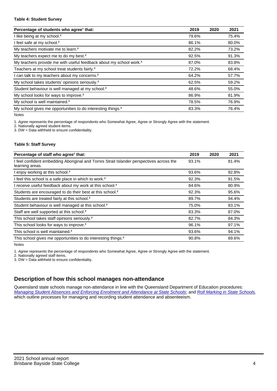#### **Table 4: Student Survey**

| Percentage of students who agree <sup>1</sup> that:                            | 2019  | 2020 | 2021  |
|--------------------------------------------------------------------------------|-------|------|-------|
| I like being at my school. <sup>2</sup>                                        | 79.6% |      | 75.4% |
| I feel safe at my school. <sup>2</sup>                                         | 86.1% |      | 80.0% |
| My teachers motivate me to learn. <sup>2</sup>                                 | 82.2% |      | 73.2% |
| My teachers expect me to do my best. <sup>2</sup>                              | 92.5% |      | 91.3% |
| My teachers provide me with useful feedback about my school work. <sup>2</sup> | 87.0% |      | 83.8% |
| Teachers at my school treat students fairly. <sup>2</sup>                      | 72.2% |      | 68.4% |
| I can talk to my teachers about my concerns. <sup>2</sup>                      | 64.2% |      | 57.7% |
| My school takes students' opinions seriously. <sup>2</sup>                     | 62.5% |      | 59.2% |
| Student behaviour is well managed at my school. <sup>2</sup>                   | 48.6% |      | 55.0% |
| My school looks for ways to improve. <sup>2</sup>                              | 86.9% |      | 81.9% |
| My school is well maintained. <sup>2</sup>                                     | 78.5% |      | 76.9% |
| My school gives me opportunities to do interesting things. <sup>2</sup>        | 83.3% |      | 76.4% |

Notes

1. Agree represents the percentage of respondents who Somewhat Agree, Agree or Strongly Agree with the statement.

2. Nationally agreed student items.

3. DW = Data withheld to ensure confidentiality.

### **Table 5: Staff Survey**

| Percentage of staff who agree <sup>1</sup> that:                                                            | 2019  | 2020 | 2021  |
|-------------------------------------------------------------------------------------------------------------|-------|------|-------|
| I feel confident embedding Aboriginal and Torres Strait Islander perspectives across the<br>learning areas. | 93.1% |      | 81.4% |
| I enjoy working at this school. <sup>2</sup>                                                                | 93.6% |      | 92.8% |
| I feel this school is a safe place in which to work. <sup>2</sup>                                           | 92.3% |      | 91.5% |
| I receive useful feedback about my work at this school. <sup>2</sup>                                        | 84.6% |      | 80.9% |
| Students are encouraged to do their best at this school. <sup>2</sup>                                       | 92.3% |      | 95.6% |
| Students are treated fairly at this school. <sup>2</sup>                                                    | 89.7% |      | 94.4% |
| Student behaviour is well managed at this school. <sup>2</sup>                                              | 75.0% |      | 83.1% |
| Staff are well supported at this school. <sup>2</sup>                                                       | 83.3% |      | 87.0% |
| This school takes staff opinions seriously. <sup>2</sup>                                                    | 82.7% |      | 84.3% |
| This school looks for ways to improve. <sup>2</sup>                                                         | 96.1% |      | 97.1% |
| This school is well maintained. <sup>2</sup>                                                                | 93.6% |      | 94.1% |
| This school gives me opportunities to do interesting things. <sup>2</sup>                                   | 90.8% |      | 89.6% |

Notes

1. Agree represents the percentage of respondents who Somewhat Agree, Agree or Strongly Agree with the statement.

2. Nationally agreed staff items.

3. DW = Data withheld to ensure confidentiality.

# **Description of how this school manages non-attendance**

Queensland state schools manage non-attendance in line with the Queensland Department of Education procedures: [Managing Student Absences and Enforcing Enrolment and Attendance at State Schools](https://ppr.qed.qld.gov.au/pp/managing-student-absences-and-enforcing-enrolment-and-attendance-at-state-schools-procedure); and [Roll Marking in State Schools,](https://ppr.qed.qld.gov.au/pp/roll-marking-in-state-schools-procedure) which outline processes for managing and recording student attendance and absenteeism.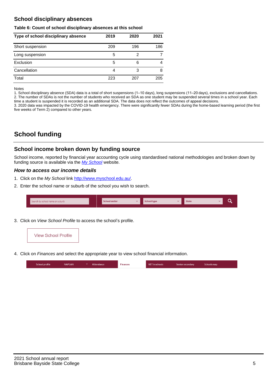# **School disciplinary absences**

### **Table 6: Count of school disciplinary absences at this school**

| Type of school disciplinary absence | 2019 | 2020 | 2021 |
|-------------------------------------|------|------|------|
| Short suspension                    | 209  | 196  | 186  |
| Long suspension                     | 5    | 2    |      |
| Exclusion                           | 5    | 6    | 4    |
| Cancellation                        | 4    | 3    | 8    |
| Total                               | 223  | 207  | 205  |

Notes

1. School disciplinary absence (SDA) data is a total of short suspensions (1–10 days), long suspensions (11–20 days), exclusions and cancellations. 2. The number of SDAs is not the number of students who received an SDA as one student may be suspended several times in a school year. Each time a student is suspended it is recorded as an additional SDA. The data does not reflect the outcomes of appeal decisions.

3. 2020 data was impacted by the COVID-19 health emergency. There were significantly fewer SDAs during the home-based learning period (the first five weeks of Term 2) compared to other years.

# **School funding**

## **School income broken down by funding source**

School income, reported by financial year accounting cycle using standardised national methodologies and broken down by funding source is available via the [My School](http://www.myschool.edu.au/) website.

## **How to access our income details**

- 1. Click on the My School link <http://www.myschool.edu.au/>.
- 2. Enter the school name or suburb of the school you wish to search.

| Search by school name or suburb | <b>School sector</b> | School type | <b>State</b> |  |
|---------------------------------|----------------------|-------------|--------------|--|
|                                 |                      |             |              |  |

3. Click on View School Profile to access the school's profile.



4. Click on Finances and select the appropriate year to view school financial information.

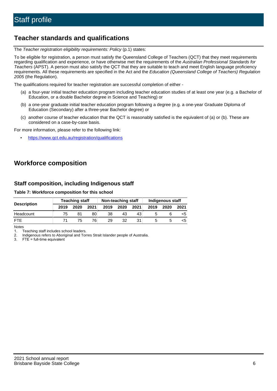# **Teacher standards and qualifications**

The Teacher registration eligibility requirements: Policy (p.1) states:

To be eligible for registration, a person must satisfy the Queensland College of Teachers (QCT) that they meet requirements regarding qualification and experience, or have otherwise met the requirements of the Australian Professional Standards for Teachers (APST). A person must also satisfy the QCT that they are suitable to teach and meet English language proficiency requirements. All these requirements are specified in the Act and the Education (Queensland College of Teachers) Regulation 2005 (the Regulation).

The qualifications required for teacher registration are successful completion of either -

- (a) a four-year initial teacher education program including teacher education studies of at least one year (e.g. a Bachelor of Education, or a double Bachelor degree in Science and Teaching) or
- (b) a one-year graduate initial teacher education program following a degree (e.g. a one-year Graduate Diploma of Education (Secondary) after a three-year Bachelor degree) or
- (c) another course of teacher education that the QCT is reasonably satisfied is the equivalent of (a) or (b). These are considered on a case-by-case basis.

For more information, please refer to the following link:

• <https://www.qct.edu.au/registration/qualifications>

# **Workforce composition**

# **Staff composition, including Indigenous staff**

### **Table 7: Workforce composition for this school**

|                    | <b>Teaching staff</b> |      |      | Non-teaching staff |      |      | Indigenous staff |      |      |
|--------------------|-----------------------|------|------|--------------------|------|------|------------------|------|------|
| <b>Description</b> | 2019                  | 2020 | 2021 | 2019               | 2020 | 2021 | 2019             | 2020 | 2021 |
| Headcount          | 75                    | 81   | 80   | 38                 | 43   | 43   |                  |      |      |
| <b>FTF</b>         | 71                    | 75   | 76.  | 29                 | 32   | 31   |                  |      |      |

Notes

1. Teaching staff includes school leaders.

2. Indigenous refers to Aboriginal and Torres Strait Islander people of Australia.

3. FTE = full-time equivalent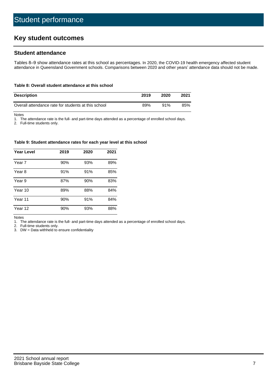# **Key student outcomes**

## **Student attendance**

Tables 8–9 show attendance rates at this school as percentages. In 2020, the COVID-19 health emergency affected student attendance in Queensland Government schools. Comparisons between 2020 and other years' attendance data should not be made.

#### **Table 8: Overall student attendance at this school**

| <b>Description</b>                                  | 2019 | 2020 | 2021 |
|-----------------------------------------------------|------|------|------|
| Overall attendance rate for students at this school | 89%  | 91%  | 85%  |

Notes

1. The attendance rate is the full- and part-time days attended as a percentage of enrolled school days.

2. Full-time students only.

#### **Table 9: Student attendance rates for each year level at this school**

| <b>Year Level</b> | 2019 | 2020 | 2021 |
|-------------------|------|------|------|
| Year 7            | 90%  | 93%  | 89%  |
| Year 8            | 91%  | 91%  | 85%  |
| Year 9            | 87%  | 90%  | 83%  |
| Year 10           | 89%  | 88%  | 84%  |
| Year 11           | 90%  | 91%  | 84%  |
| Year 12           | 90%  | 93%  | 88%  |

Notes

1. The attendance rate is the full- and part-time days attended as a percentage of enrolled school days.

2. Full-time students only.

3. DW = Data withheld to ensure confidentiality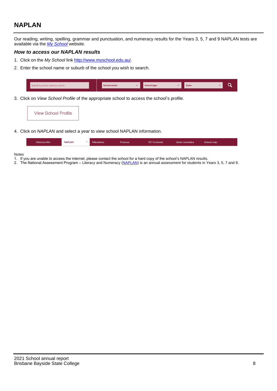# **NAPLAN**

Our reading, writing, spelling, grammar and punctuation, and numeracy results for the Years 3, 5, 7 and 9 NAPLAN tests are available via the [My School](http://www.myschool.edu.au/) website.

## **How to access our NAPLAN results**

- 1. Click on the My School link <http://www.myschool.edu.au/>.
- 2. Enter the school name or suburb of the school you wish to search.

| Search by school name or suburb | <b>School sector</b> | <b>School type</b>                        |          | <b>State</b> |  |
|---------------------------------|----------------------|-------------------------------------------|----------|--------------|--|
|                                 |                      |                                           |          |              |  |
|                                 |                      | $\sim$ $\sim$ $\sim$ $\sim$ $\sim$ $\sim$ | $\cdots$ |              |  |

3. Click on View School Profile of the appropriate school to access the school's profile.

| <b>View School Profile</b> |
|----------------------------|
|----------------------------|

4. Click on NAPLAN and select a year to view school NAPLAN information.

|  | School profile | <b>NAPLAN</b><br>$\sim$ 1 | Attendance | <b>Finances</b> | <b>VET</b> in schools | Senior secondary | Schools map |
|--|----------------|---------------------------|------------|-----------------|-----------------------|------------------|-------------|
|--|----------------|---------------------------|------------|-----------------|-----------------------|------------------|-------------|

#### Notes

- 1. If you are unable to access the internet, please contact the school for a hard copy of the school's NAPLAN results.
- 2. The National Assessment Program Literacy and Numeracy ([NAPLAN\)](http://www.nap.edu.au/naplan) is an annual assessment for students in Years 3, 5, 7 and 9.